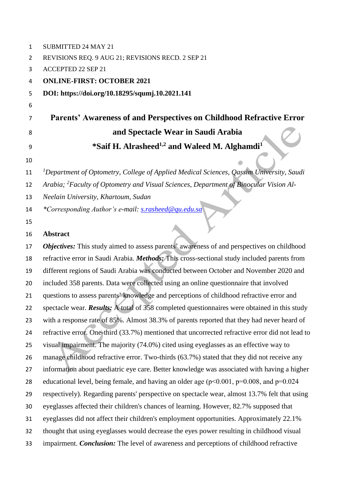| 1  | SUBMITTED 24 MAY 21                                                                                 |
|----|-----------------------------------------------------------------------------------------------------|
| 2  | REVISIONS REQ. 9 AUG 21; REVISIONS RECD. 2 SEP 21                                                   |
| 3  | <b>ACCEPTED 22 SEP 21</b>                                                                           |
| 4  | <b>ONLINE-FIRST: OCTOBER 2021</b>                                                                   |
| 5  | DOI: https://doi.org/10.18295/squmj.10.2021.141                                                     |
| 6  |                                                                                                     |
| 7  | Parents' Awareness of and Perspectives on Childhood Refractive Error                                |
| 8  | and Spectacle Wear in Saudi Arabia                                                                  |
| 9  | *Saif H. Alrasheed <sup>1,2</sup> and Waleed M. Alghamdi <sup>1</sup>                               |
| 10 |                                                                                                     |
| 11 | <sup>1</sup> Department of Optometry, College of Applied Medical Sciences, Qassim University, Saudi |
| 12 | Arabia; <sup>2</sup> Faculty of Optometry and Visual Sciences, Department of Binocular Vision Al-   |
| 13 | Neelain University, Khartoum, Sudan                                                                 |
| 14 | *Corresponding Author's e-mail: s.rasheed@qu.edu.sa                                                 |
| 15 |                                                                                                     |
| 16 | <b>Abstract</b>                                                                                     |
| 17 | Objectives: This study aimed to assess parents' awareness of and perspectives on childhood          |
| 18 | refractive error in Saudi Arabia. Methods: This cross-sectional study included parents from         |
| 19 | different regions of Saudi Arabia was conducted between October and November 2020 and               |
| 20 | included 358 parents. Data were collected using an online questionnaire that involved               |
| 21 | questions to assess parents' knowledge and perceptions of childhood refractive error and            |
| 22 | spectacle wear. <b>Results:</b> A total of 358 completed questionnaires were obtained in this study |
| 23 | with a response rate of 85%. Almost 38.3% of parents reported that they had never heard of          |
| 24 | refractive error. One-third (33.7%) mentioned that uncorrected refractive error did not lead to     |
| 25 | visual impairment. The majority (74.0%) cited using eyeglasses as an effective way to               |
| 26 | manage childhood refractive error. Two-thirds (63.7%) stated that they did not receive any          |
| 27 | information about paediatric eye care. Better knowledge was associated with having a higher         |
| 28 | educational level, being female, and having an older age ( $p<0.001$ , $p=0.008$ , and $p=0.024$    |
| 29 | respectively). Regarding parents' perspective on spectacle wear, almost 13.7% felt that using       |
| 30 | eyeglasses affected their children's chances of learning. However, 82.7% supposed that              |
| 31 | eyeglasses did not affect their children's employment opportunities. Approximately 22.1%            |
| 32 | thought that using eyeglasses would decrease the eyes power resulting in childhood visual           |
| 33 | impairment. Conclusion: The level of awareness and perceptions of childhood refractive              |
|    |                                                                                                     |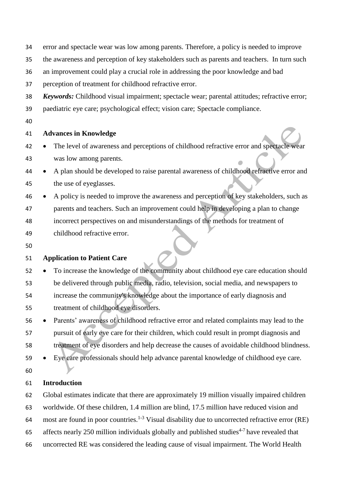- error and spectacle wear was low among parents. Therefore, a policy is needed to improve
- the awareness and perception of key stakeholders such as parents and teachers. In turn such
- an improvement could play a crucial role in addressing the poor knowledge and bad

perception of treatment for childhood refractive error.

- *Keywords:* Childhood visual impairment; spectacle wear; parental attitudes; refractive error;
- paediatric eye care; psychological effect; vision care; Spectacle compliance.
- 

#### **Advances in Knowledge**

- The level of awareness and perceptions of childhood refractive error and spectacle wear was low among parents.
- A plan should be developed to raise parental awareness of childhood refractive error and the use of eyeglasses.
- A policy is needed to improve the awareness and perception of key stakeholders, such as parents and teachers. Such an improvement could help in developing a plan to change incorrect perspectives on and misunderstandings of the methods for treatment of childhood refractive error.
- 

#### **Application to Patient Care**

- To increase the knowledge of the community about childhood eye care education should be delivered through public media, radio, television, social media, and newspapers to increase the community's knowledge about the importance of early diagnosis and treatment of childhood eye disorders.
- Parents' awareness of childhood refractive error and related complaints may lead to the pursuit of early eye care for their children, which could result in prompt diagnosis and treatment of eye disorders and help decrease the causes of avoidable childhood blindness.
- Eye care professionals should help advance parental knowledge of childhood eye care.
- 

#### **Introduction**

- Global estimates indicate that there are approximately 19 million visually impaired children
- worldwide. Of these children, 1.4 million are blind, 17.5 million have reduced vision and
- 64 most are found in poor countries.<sup>1-3</sup> Visual disability due to uncorrected refractive error (RE)
- 65 affects nearly 250 million individuals globally and published studies<sup>4-7</sup> have revealed that
- uncorrected RE was considered the leading cause of visual impairment. The World Health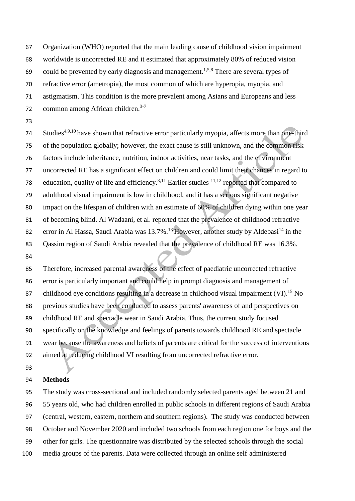Organization (WHO) reported that the main leading cause of childhood vision impairment worldwide is uncorrected RE and it estimated that approximately 80% of reduced vision 69 could be prevented by early diagnosis and management.<sup>1,5,8</sup> There are several types of refractive error (ametropia), the most common of which are hyperopia, myopia, and astigmatism. This condition is the more prevalent among Asians and Europeans and less common among African children.3-7 

74 Studies<sup>4,9,10</sup> have shown that refractive error particularly myopia, affects more than one-third of the population globally; however, the exact cause is still unknown, and the common risk factors include inheritance, nutrition, indoor activities, near tasks, and the environment uncorrected RE has a significant effect on children and could limit their chances in regard to 78 education, quality of life and efficiency.<sup>3,11</sup> Earlier studies  $11,12$  reported that compared to adulthood visual impairment is low in childhood, and it has a serious significant negative impact on the lifespan of children with an estimate of 60% of children dying within one year of becoming blind. Al Wadaani, et al. reported that the prevalence of childhood refractive 82 error in Al Hassa, Saudi Arabia was  $13.7\%$ .<sup>13</sup> However, another study by Aldebasi<sup>14</sup> in the 83 Oassim region of Saudi Arabia revealed that the prevalence of childhood RE was 16.3%.

 Therefore, increased parental awareness of the effect of paediatric uncorrected refractive error is particularly important and could help in prompt diagnosis and management of 87 childhood eye conditions resulting in a decrease in childhood visual impairment  $(VI).<sup>15</sup>$  No previous studies have been conducted to assess parents' awareness of and perspectives on childhood RE and spectacle wear in Saudi Arabia. Thus, the current study focused specifically on the knowledge and feelings of parents towards childhood RE and spectacle wear because the awareness and beliefs of parents are critical for the success of interventions aimed at reducing childhood VI resulting from uncorrected refractive error.

#### **Methods**

 The study was cross-sectional and included randomly selected parents aged between 21 and 55 years old, who had children enrolled in public schools in different regions of Saudi Arabia (central, western, eastern, northern and southern regions). The study was conducted between October and November 2020 and included two schools from each region one for boys and the other for girls. The questionnaire was distributed by the selected schools through the social media groups of the parents. Data were collected through an online self administered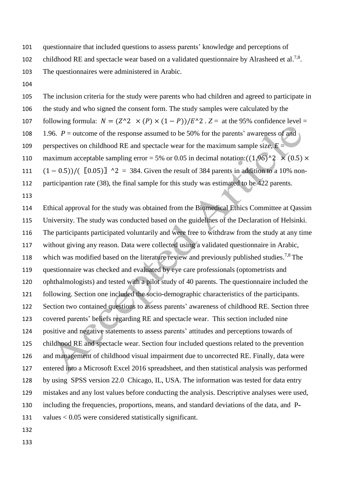questionnaire that included questions to assess parents' knowledge and perceptions of

- 102 childhood RE and spectacle wear based on a validated questionnaire by Alrasheed et al.<sup>7,8</sup>.
- The questionnaires were administered in Arabic.
- 

 The inclusion criteria for the study were parents who had children and agreed to participate in the study and who signed the consent form. The study samples were calculated by the 107 following formula:  $N = (Z^2 \times (P) \times (1 - P))/E^2$ .  $Z =$  at the 95% confidence level = 108 1.96. *P* = outcome of the response assumed to be 50% for the parents' awareness of and 109 perspectives on childhood RE and spectacle wear for the maximum sample size,  $E =$ 110 maximum acceptable sampling error = 5% or 0.05 in decimal notation:  $((1.96)^2 \times (0.5) \times$ 111  $(1 - 0.5)$ /( $[0.05)$ ] ^2 = 384. Given the result of 384 parents in addition to a 10% non-112 participantion rate (38), the final sample for this study was estimated to be 422 parents. 

 Ethical approval for the study was obtained from the Biomedical Ethics Committee at Qassim University. The study was conducted based on the guidelines of the Declaration of Helsinki. The participants participated voluntarily and were free to withdraw from the study at any time without giving any reason. Data were collected using a validated questionnaire in Arabic, 118 which was modified based on the literature review and previously published studies.<sup>7,8</sup> The questionnaire was checked and evaluated by eye care professionals (optometrists and ophthalmologists) and tested with a pilot study of 40 parents. The questionnaire included the following. Section one included the socio-demographic characteristics of the participants. Section two contained questions to assess parents' awareness of childhood RE. Section three covered parents' beliefs regarding RE and spectacle wear. This section included nine positive and negative statements to assess parents' attitudes and perceptions towards of childhood RE and spectacle wear. Section four included questions related to the prevention and management of childhood visual impairment due to uncorrected RE. Finally, data were entered into a Microsoft Excel 2016 spreadsheet, and then statistical analysis was performed by using SPSS version 22.0 Chicago, IL, USA. The information was tested for data entry mistakes and any lost values before conducting the analysis. Descriptive analyses were used, including the frequencies, proportions, means, and standard deviations of the data, and P-values < 0.05 were considered statistically significant.

- 
-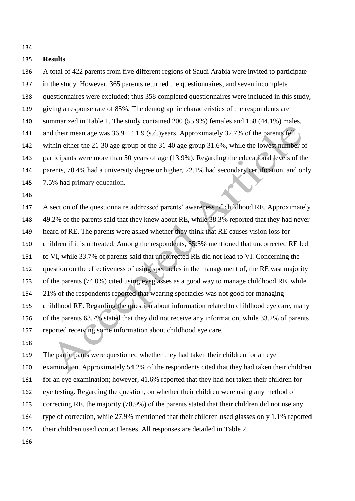#### **Results**

- A total of 422 parents from five different regions of Saudi Arabia were invited to participate
- in the study. However, 365 parents returned the questionnaires, and seven incomplete
- questionnaires were excluded; thus 358 completed questionnaires were included in this study,
- giving a response rate of 85%. The demographic characteristics of the respondents are
- summarized in Table 1. The study contained 200 (55.9%) females and 158 (44.1%) males,
- 141 and their mean age was  $36.9 \pm 11.9$  (s.d.) years. Approximately 32.7% of the parents fell
- within either the 21-30 age group or the 31-40 age group 31.6%, while the lowest number of
- participants were more than 50 years of age (13.9%). Regarding the educational levels of the
- parents, 70.4% had a university degree or higher, 22.1% had secondary certification, and only
- 7.5% had primary education.
- 
- A section of the questionnaire addressed parents' awareness of childhood RE. Approximately 49.2% of the parents said that they knew about RE, while 38.3% reported that they had never heard of RE. The parents were asked whether they think that RE causes vision loss for children if it is untreated. Among the respondents, 55.5% mentioned that uncorrected RE led to VI, while 33.7% of parents said that uncorrected RE did not lead to VI. Concerning the question on the effectiveness of using spectacles in the management of, the RE vast majority of the parents (74.0%) cited using eyeglasses as a good way to manage childhood RE, while 21% of the respondents reported that wearing spectacles was not good for managing childhood RE. Regarding the question about information related to childhood eye care, many of the parents 63.7% stated that they did not receive any information, while 33.2% of parents reported receiving some information about childhood eye care.
- 

 The participants were questioned whether they had taken their children for an eye examination. Approximately 54.2% of the respondents cited that they had taken their children 161 for an eye examination; however, 41.6% reported that they had not taken their children for eye testing. Regarding the question, on whether their children were using any method of correcting RE, the majority (70.9%) of the parents stated that their children did not use any type of correction, while 27.9% mentioned that their children used glasses only 1.1% reported their children used contact lenses. All responses are detailed in Table 2.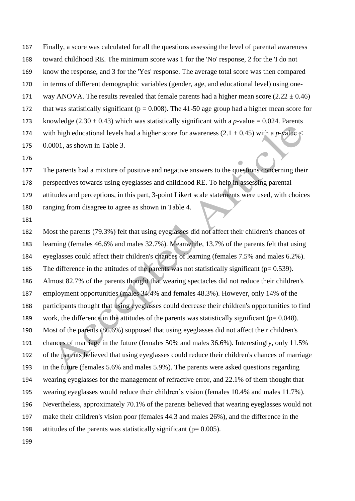Finally, a score was calculated for all the questions assessing the level of parental awareness toward childhood RE. The minimum score was 1 for the 'No' response, 2 for the 'I do not know the response, and 3 for the 'Yes' response. The average total score was then compared in terms of different demographic variables (gender, age, and educational level) using one-171 way ANOVA. The results revealed that female parents had a higher mean score  $(2.22 \pm 0.46)$ 172 that was statistically significant ( $p = 0.008$ ). The 41-50 age group had a higher mean score for 173 knowledge  $(2.30 \pm 0.43)$  which was statistically significant with a *p*-value = 0.024. Parents 174 with high educational levels had a higher score for awareness  $(2.1 \pm 0.45)$  with a *p*-value  $\le$ 

- 0.0001, as shown in Table 3.
- 

 The parents had a mixture of positive and negative answers to the questions concerning their perspectives towards using eyeglasses and childhood RE. To help in assessing parental attitudes and perceptions, in this part, 3-point Likert scale statements were used, with choices ranging from disagree to agree as shown in Table 4.

 Most the parents (79.3%) felt that using eyeglasses did not affect their children's chances of learning (females 46.6% and males 32.7%). Meanwhile, 13.7% of the parents felt that using eyeglasses could affect their children's chances of learning (females 7.5% and males 6.2%). 185 The difference in the attitudes of the parents was not statistically significant ( $p= 0.539$ ). Almost 82.7% of the parents thought that wearing spectacles did not reduce their children's employment opportunities (males 34.4% and females 48.3%). However, only 14% of the participants thought that using eyeglasses could decrease their children's opportunities to find 189 work, the difference in the attitudes of the parents was statistically significant ( $p= 0.048$ ). Most of the parents (86.6%) supposed that using eyeglasses did not affect their children's chances of marriage in the future (females 50% and males 36.6%). Interestingly, only 11.5% of the parents believed that using eyeglasses could reduce their children's chances of marriage in the future (females 5.6% and males 5.9%). The parents were asked questions regarding wearing eyeglasses for the management of refractive error, and 22.1% of them thought that wearing eyeglasses would reduce their children's vision (females 10.4% and males 11.7%). Nevertheless, approximately 70.1% of the parents believed that wearing eyeglasses would not make their children's vision poor (females 44.3 and males 26%), and the difference in the 198 attitudes of the parents was statistically significant ( $p= 0.005$ ).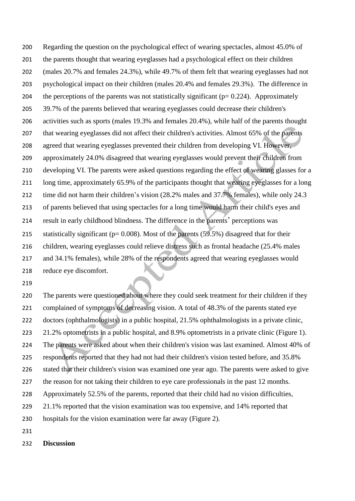Regarding the question on the psychological effect of wearing spectacles, almost 45.0% of the parents thought that wearing eyeglasses had a psychological effect on their children (males 20.7% and females 24.3%), while 49.7% of them felt that wearing eyeglasses had not psychological impact on their children (males 20.4% and females 29.3%). The difference in 204 the perceptions of the parents was not statistically significant ( $p= 0.224$ ). Approximately 39.7% of the parents believed that wearing eyeglasses could decrease their children's activities such as sports (males 19.3% and females 20.4%), while half of the parents thought that wearing eyeglasses did not affect their children's activities. Almost 65% of the parents agreed that wearing eyeglasses prevented their children from developing VI. However, approximately 24.0% disagreed that wearing eyeglasses would prevent their children from developing VI. The parents were asked questions regarding the effect of wearing glasses for a long time, approximately 65.9% of the participants thought that wearing eyeglasses for a long 212 time did not harm their children's vision (28.2% males and 37.7% females), while only 24.3 of parents believed that using spectacles for a long time would harm their child's eyes and result in early childhood blindness. The difference in the parents' perceptions was 215 statistically significant ( $p= 0.008$ ). Most of the parents (59.5%) disagreed that for their children, wearing eyeglasses could relieve distress such as frontal headache (25.4% males and 34.1% females), while 28% of the respondents agreed that wearing eyeglasses would reduce eye discomfort.

 The parents were questioned about where they could seek treatment for their children if they complained of symptoms of decreasing vision. A total of 48.3% of the parents stated eye doctors (ophthalmologists) in a public hospital, 21.5% ophthalmologists in a private clinic, 21.2% optometrists in a public hospital, and 8.9% optometrists in a private clinic (Figure 1). The parents were asked about when their children's vision was last examined. Almost 40% of respondents reported that they had not had their children's vision tested before, and 35.8% stated that their children's vision was examined one year ago. The parents were asked to give 227 the reason for not taking their children to eye care professionals in the past 12 months. Approximately 52.5% of the parents, reported that their child had no vision difficulties, 229 21.1% reported that the vision examination was too expensive, and 14% reported that hospitals for the vision examination were far away (Figure 2).

**Discussion**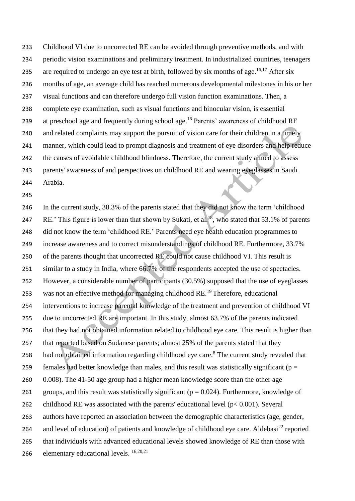Childhood VI due to uncorrected RE can be avoided through preventive methods, and with periodic vision examinations and preliminary treatment. In industrialized countries, teenagers 235 are required to undergo an eye test at birth, followed by six months of age.<sup>16,17</sup> After six months of age, an average child has reached numerous developmental milestones in his or her visual functions and can therefore undergo full vision function examinations. Then, a complete eye examination, such as visual functions and binocular vision, is essential 239 at preschool age and frequently during school age.<sup>16</sup> Parents' awareness of childhood RE and related complaints may support the pursuit of vision care for their children in a timely manner, which could lead to prompt diagnosis and treatment of eye disorders and help reduce the causes of avoidable childhood blindness. Therefore, the current study aimed to assess parents' awareness of and perspectives on childhood RE and wearing eyeglasses in Saudi Arabia.

 In the current study, 38.3% of the parents stated that they did not know the term 'childhood 247 RE.' This figure is lower than that shown by Sukati, et al.<sup>18</sup>, who stated that 53.1% of parents did not know the term 'childhood RE.' Parents need eye health education programmes to increase awareness and to correct misunderstandings of childhood RE. Furthermore, 33.7% of the parents thought that uncorrected RE could not cause childhood VI. This result is similar to a study in India, where 66.7% of the respondents accepted the use of spectacles. However, a considerable number of participants (30.5%) supposed that the use of eyeglasses 253 was not an effective method for managing childhood RE.<sup>19</sup> Therefore, educational interventions to increase parental knowledge of the treatment and prevention of childhood VI 255 due to uncorrected RE are important. In this study, almost 63.7% of the parents indicated that they had not obtained information related to childhood eye care. This result is higher than 257 that reported based on Sudanese parents; almost 25% of the parents stated that they 258 had not obtained information regarding childhood eye care.<sup>8</sup> The current study revealed that 259 females had better knowledge than males, and this result was statistically significant ( $p =$  0.008). The 41-50 age group had a higher mean knowledge score than the other age 261 groups, and this result was statistically significant ( $p = 0.024$ ). Furthermore, knowledge of 262 childhood RE was associated with the parents' educational level ( $p < 0.001$ ). Several authors have reported an association between the demographic characteristics (age, gender, 264 and level of education) of patients and knowledge of childhood eye care. Aldebasi<sup>22</sup> reported that individuals with advanced educational levels showed knowledge of RE than those with 266 elementary educational levels.  $16,20,21$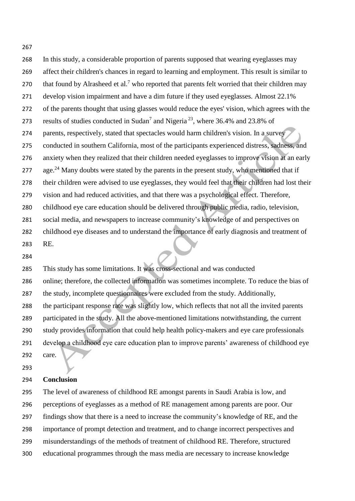In this study, a considerable proportion of parents supposed that wearing eyeglasses may affect their children's chances in regard to learning and employment. This result is similar to 270 that found by Alrasheed et al.<sup>7</sup> who reported that parents felt worried that their children may develop vision impairment and have a dim future if they used eyeglasses. Almost 22.1% of the parents thought that using glasses would reduce the eyes' vision, which agrees with the 273 results of studies conducted in Sudan<sup>7</sup> and Nigeria<sup>23</sup>, where 36.4% and 23.8% of parents, respectively, stated that spectacles would harm children's vision. In a survey conducted in southern California, most of the participants experienced distress, sadness, and anxiety when they realized that their children needed eyeglasses to improve vision at an early 277 age.<sup>24</sup> Many doubts were stated by the parents in the present study, who mentioned that if their children were advised to use eyeglasses, they would feel that their children had lost their vision and had reduced activities, and that there was a psychological effect. Therefore, childhood eye care education should be delivered through public media, radio, television, social media, and newspapers to increase community's knowledge of and perspectives on childhood eye diseases and to understand the importance of early diagnosis and treatment of RE.

 This study has some limitations. It was cross-sectional and was conducted online; therefore, the collected information was sometimes incomplete. To reduce the bias of the study, incomplete questionnaires were excluded from the study. Additionally, the participant response rate was slightly low, which reflects that not all the invited parents participated in the study. All the above-mentioned limitations notwithstanding, the current study provides information that could help health policy-makers and eye care professionals develop a childhood eye care education plan to improve parents' awareness of childhood eye care.

#### **Conclusion**

 The level of awareness of childhood RE amongst parents in Saudi Arabia is low, and perceptions of eyeglasses as a method of RE management among parents are poor. Our findings show that there is a need to increase the community's knowledge of RE, and the importance of prompt detection and treatment, and to change incorrect perspectives and misunderstandings of the methods of treatment of childhood RE. Therefore, structured educational programmes through the mass media are necessary to increase knowledge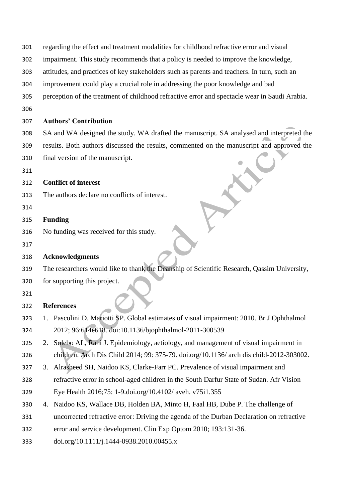- regarding the effect and treatment modalities for childhood refractive error and visual
- impairment. This study recommends that a policy is needed to improve the knowledge,
- attitudes, and practices of key stakeholders such as parents and teachers. In turn, such an
- improvement could play a crucial role in addressing the poor knowledge and bad
- perception of the treatment of childhood refractive error and spectacle wear in Saudi Arabia.
- 

#### **Authors' Contribution**

 SA and WA designed the study. WA drafted the manuscript. SA analysed and interpreted the results. Both authors discussed the results, commented on the manuscript and approved the final version of the manuscript.

#### **Conflict of interest**

- The authors declare no conflicts of interest.
- 

#### **Funding**

- No funding was received for this study.
- 

#### **Acknowledgments**

- The researchers would like to thank the Deanship of Scientific Research, Qassim University,
- for supporting this project.
- 

#### **References**

- 1. Pascolini D, Mariotti SP. Global estimates of visual impairment: 2010. Br J Ophthalmol 2012; 96:614e618. doi:10.1136/bjophthalmol-2011-300539
- 2. Solebo AL, Rahi J. Epidemiology, aetiology, and management of visual impairment in children. Arch Dis Child 2014; 99: 375-79. doi.org/10.1136/ arch dis child-2012-303002.
- 3. Alrasheed SH, Naidoo KS, Clarke-Farr PC. Prevalence of visual impairment and
- refractive error in school-aged children in the South Darfur State of Sudan. Afr Vision Eye Health 2016;75: 1-9.doi.org/10.4102/ aveh. v75i1.355
- 4. Naidoo KS, Wallace DB, Holden BA, Minto H, Faal HB, Dube P. The challenge of
- uncorrected refractive error: Driving the agenda of the Durban Declaration on refractive
- error and service development. Clin Exp Optom 2010; 193:131-36.
- [doi.org/10.1111/j.1444-0938.2010.00455.x](https://doi.org/10.1111/j.1444-0938.2010.00455.x)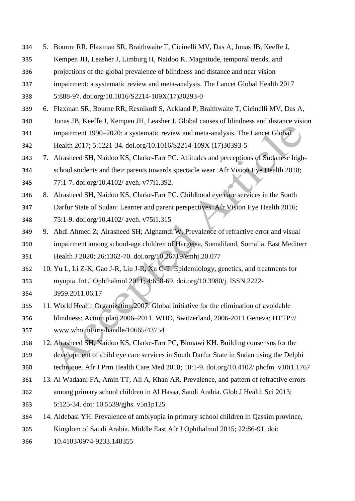- 5. Bourne RR, Flaxman SR, Braithwaite T, Cicinelli MV, Das A, Jonas JB, Keeffe J,
- Kempen JH, Leasher J, Limburg H, Naidoo K. Magnitude, temporal trends, and
- projections of the global prevalence of blindness and distance and near vision
- impairment: a systematic review and meta-analysis. The Lancet Global Health 2017
- 5:888-97. [doi.org/10.1016/S2214-109X\(17\)30293-0](https://doi.org/10.1016/S2214-109X(17)30293-0)
- 6. Flaxman SR, Bourne RR, Resnikoff S, Ackland P, Braithwaite T, Cicinelli MV, Das A, Jonas JB, Keeffe J, Kempen JH, Leasher J. Global causes of blindness and distance vision
- impairment 1990–2020: a systematic review and meta-analysis. The Lancet Global Health 2017; 5:1221-34. doi.org/10.1016/S2214-109X (17)30393-5
- 7. Alrasheed SH, Naidoo KS, Clarke-Farr PC. Attitudes and perceptions of Sudanese high- school students and their parents towards spectacle wear. Afr Vision Eye Health 2018; 77:1-7. doi.org/10.4102/ aveh. v77i1.392.
- 8. Alrasheed SH, Naidoo KS, Clarke-Farr PC. Childhood eye care services in the South Darfur State of Sudan: Learner and parent perspectives. Afr Vision Eye Health 2016; 75:1-9. doi.org/10.4102/ aveh. v75i1.315
- 9. Abdi Ahmed Z; Alrasheed SH; Alghamdi W. Prevalence of refractive error and visual impairment among school-age children of Hargeisa, Somaliland, Somalia. East Mediterr Health J 2020; 26:1362-70. [doi.org/10.26719/emhj.20.077](https://doi.org/10.26719/emhj.20.077)
- 10. Yu L, Li Z-K, Gao J-R, Liu J-R, Xu C-T. Epidemiology, genetics, and treatments for myopia. Int J Ophthalmol 2011; 4:658-69. [doi.org/10.3980/j. ISSN.2222-](https://doi.org/10.3980/j.%20issn.2222-3959.2011.06.17)
- [3959.2011.06.17](https://doi.org/10.3980/j.%20issn.2222-3959.2011.06.17)
- 11. World Health Organization.2007. Global initiative for the elimination of avoidable blindness: Action plan 2006–2011. WHO, Switzerland, 2006-2011 Geneva; HTTP:// [www.who.int/iris/handle/10665/43754](http://www.who.int/iris/handle/10665/43754)
- 12. Alrasheed SH, Naidoo KS, Clarke-Farr PC, Binnawi KH. Building consensus for the development of child eye care services in South Darfur State in Sudan using the Delphi
- technique. Afr J Prm Health Care Med 2018; 10:1-9. doi.org/10.4102/ phcfm. v10i1.1767 13. Al Wadaani FA, Amin TT, Ali A, Khan AR. Prevalence, and pattern of refractive errors
- among primary school children in Al Hassa, Saudi Arabia. [Glob J Health Sci](https://www.ncbi.nlm.nih.gov/pmc/articles/PMC4776961/) 2013; 5:125-34. doi: 10.5539/gjhs. v5n1p125
- 14. Aldebasi YH. Prevalence of amblyopia in primary school children in Qassim province,
- Kingdom of Saudi Arabia. Middle East Afr J Ophthalmol 2015; 22:86-91. doi:
- 10.4103/0974-9233.148355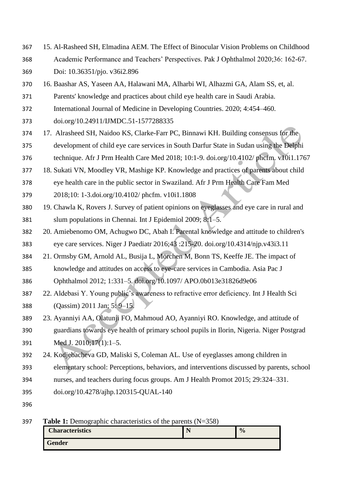- 15. Al-Rasheed SH, Elmadina AEM. The Effect of Binocular Vision Problems on Childhood Academic Performance and Teachers' Perspectives. Pak J Ophthalmol 2020;36: 162-67. Doi: 10.36351/pjo. v36i2.896
- 16. Baashar AS, Yaseen AA, Halawani MA, Alharbi WI, Alhazmi GA, Alam SS, et, al.
- Parents' knowledge and practices about child eye health care in Saudi Arabia.
- International Journal of Medicine in Developing Countries. 2020; 4:454–460.
- doi.org/10.24911/IJMDC.51-1577288335
- 17. Alrasheed SH, Naidoo KS, Clarke-Farr PC, Binnawi KH. Building consensus for the development of child eye care services in South Darfur State in Sudan using the Delphi technique. Afr J Prm Health Care Med 2018; 10:1-9. doi.org/10.4102/ phcfm. v10i1.1767
- 18. Sukati VN, Moodley VR, Mashige KP. Knowledge and practices of parents about child
- eye health care in the public sector in Swaziland. Afr J Prm Health Care Fam Med 2018;10: 1-3.doi.org/10.4102/ phcfm. v10i1.1808
- 19. Chawla K, Rovers J. Survey of patient opinions on eyeglasses and eye care in rural and slum populations in Chennai*.* Int J Epidemiol 2009; 8:1–5.
- 20. Amiebenomo OM, Achugwo DC, Abah I. Parental knowledge and attitude to children's eye care services. Niger J Paediatr 2016;43 :215-20. [doi.org/10.4314/njp.v43i3.11](https://doi.org/10.4314/njp.v43i3.11)
- 21. Ormsby GM, Arnold AL, Busija L, Mörchen M, Bonn TS, Keeffe JE. The impact of knowledge and attitudes on access to eye-care services in Cambodia. Asia Pac J
- Ophthalmol 2012; 1:331–5. doi.org/10.1097/ APO.0b013e31826d9e06
- 22. Aldebasi Y. Young public's awareness to refractive error deficiency. Int J Health Sci (Qassim) 2011 Jan; 5: 9–15.
- 23. Ayanniyi AA, Olatunji FO, Mahmoud AO, Ayanniyi RO. Knowledge, and attitude of guardians towards eye health of primary school pupils in Ilorin, Nigeria. Niger Postgrad Med J. 2010;17(1):1–5.
- 24. Kodjebacheva GD, Maliski S, Coleman AL. Use of eyeglasses among children in
- elementary school: Perceptions, behaviors, and interventions discussed by parents, school
- nurses, and teachers during focus groups. Am J Health Promot 2015; 29:324–331.
- doi.org/10.4278/ajhp.120315-QUAL-140
- 

**Table 1:** Demographic characteristics of the parents (N=358)

| ັ<br><b>Characteristics</b> | . . | $\frac{0}{0}$ |
|-----------------------------|-----|---------------|
| <b>Gender</b>               |     |               |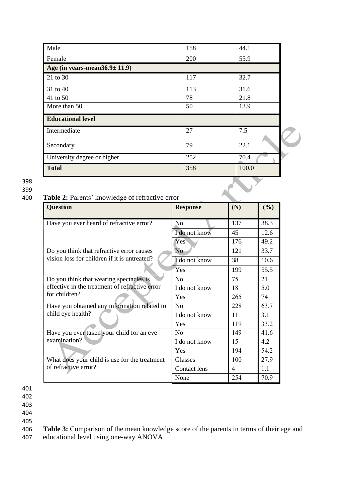| Male                                 | 158 | 44.1  |  |  |
|--------------------------------------|-----|-------|--|--|
| Female                               | 200 | 55.9  |  |  |
| Age (in years-mean $36.9 \pm 11.9$ ) |     |       |  |  |
| 21 to 30                             | 117 | 32.7  |  |  |
| 31 to 40                             | 113 | 31.6  |  |  |
| 41 to 50                             | 78  | 21.8  |  |  |
| More than 50                         | 50  | 13.9  |  |  |
| <b>Educational level</b>             |     |       |  |  |
| Intermediate                         | 27  | 7.5   |  |  |
| Secondary                            | 79  | 22.1  |  |  |
| University degree or higher          | 252 | 70.4  |  |  |
| <b>Total</b>                         | 358 | 100.0 |  |  |

398

399

#### 400 **Table 2:** Parents' knowledge of refractive error

| <b>Question</b>                                | <b>Response</b> | (N) | (%)  |
|------------------------------------------------|-----------------|-----|------|
| Have you ever heard of refractive error?       | N <sub>0</sub>  | 137 | 38.3 |
|                                                | I do not know   | 45  | 12.6 |
|                                                | Yes             | 176 | 49.2 |
| Do you think that refractive error causes      | N <sub>o</sub>  | 121 | 33.7 |
| vision loss for children if it is untreated?   | I do not know   | 38  | 10.6 |
|                                                | Yes             | 199 | 55.5 |
| Do you think that wearing spectacles is        | N <sub>o</sub>  | 75  | 21   |
| effective in the treatment of refractive error | I do not know   | 18  | 5.0  |
| for children?                                  | Yes             | 265 | 74   |
| Have you obtained any information related to   | No              | 228 | 63.7 |
| child eye health?                              | I do not know   | 11  | 3.1  |
|                                                | Yes             | 119 | 33.2 |
| Have you ever taken your child for an eye      | N <sub>0</sub>  | 149 | 41.6 |
| examination?                                   | I do not know   | 15  | 4.2  |
|                                                | Yes             | 194 | 54.2 |
| What does your child is use for the treatment  | Glasses         | 100 | 27.9 |
| of refractive error?                           | Contact lens    | 4   | 1.1  |
|                                                | None            | 254 | 70.9 |

401

402

403

404

405

406 **Table 3:** Comparison of the mean knowledge score of the parents in terms of their age and

407 educational level using one-way ANOVA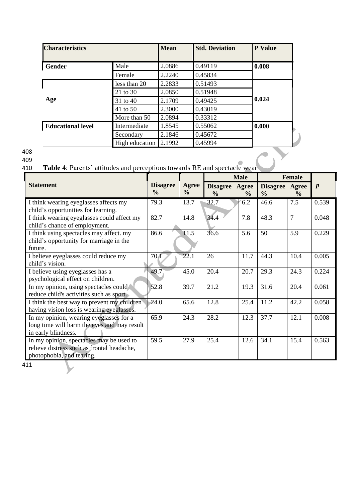| <b>Characteristics</b>                                                    |                | <b>Mean</b> | <b>Std. Deviation</b> | P Value |
|---------------------------------------------------------------------------|----------------|-------------|-----------------------|---------|
| <b>Gender</b>                                                             | Male           | 2.0886      | 0.49119               | 0.008   |
|                                                                           | Female         | 2.2240      | 0.45834               |         |
|                                                                           | less than 20   | 2.2833      | 0.51493               |         |
|                                                                           | 21 to 30       | 2.0850      | 0.51948               |         |
| Age                                                                       | 31 to 40       | 2.1709      | 0.49425               | 0.024   |
|                                                                           | 41 to 50       | 2.3000      | 0.43019               |         |
|                                                                           | More than 50   | 2.0894      | 0.33312               |         |
| <b>Educational level</b>                                                  | Intermediate   | 1.8545      | 0.55062               | 0.000   |
|                                                                           | Secondary      | 2.1846      | 0.45672               |         |
|                                                                           | High education | 2.1992      | 0.45994               |         |
| Table 4: Parents' attitudes and perceptions towards RE and spectacle wear |                |             |                       |         |
|                                                                           |                |             | <b>BF</b>             |         |

### 408

# 409<br>410

## Table 4: Parents' attitudes and perceptions towards RE and spectacle wear

|                                                                                                                     |                                  |                               | <b>Male</b>                      |                        | <b>Female</b>                   |                |                  |
|---------------------------------------------------------------------------------------------------------------------|----------------------------------|-------------------------------|----------------------------------|------------------------|---------------------------------|----------------|------------------|
| <b>Statement</b>                                                                                                    | <b>Disagree</b><br>$\frac{0}{0}$ | <b>Agree</b><br>$\frac{0}{0}$ | <b>Disagree</b><br>$\frac{0}{0}$ | Agree<br>$\frac{6}{6}$ | Disagree Agree<br>$\frac{0}{0}$ | $\frac{6}{6}$  | $\boldsymbol{p}$ |
| I think wearing eyeglasses affects my<br>child's opportunities for learning.                                        | 79.3                             | 13.7                          | 32.7                             | 6.2                    | 46.6                            | 7.5            | 0.539            |
| I think wearing eyeglasses could affect my<br>child's chance of employment.                                         | 82.7                             | 14.8                          | 34.4                             | 7.8                    | 48.3                            | $\overline{7}$ | 0.048            |
| I think using spectacles may affect. my<br>child's opportunity for marriage in the<br>future.                       | 86.6                             | 11.5                          | 36.6                             | 5.6                    | 50                              | 5.9            | 0.229            |
| I believe eyeglasses could reduce my<br>child's vision.                                                             | 70.1                             | 22.1                          | 26                               | 11.7                   | 44.3                            | 10.4           | 0.005            |
| I believe using eyeglasses has a<br>psychological effect on children.                                               | 49.7                             | 45.0                          | 20.4                             | 20.7                   | 29.3                            | 24.3           | 0.224            |
| In my opinion, using spectacles could<br>reduce child's activities such as sport.                                   | 52.8                             | 39.7                          | 21.2                             | 19.3                   | 31.6                            | 20.4           | 0.061            |
| I think the best way to prevent my children<br>having vision loss is wearing eyeglasses.                            | 24.0                             | 65.6                          | 12.8                             | 25.4                   | 11.2                            | 42.2           | 0.058            |
| In my opinion, wearing eyeglasses for a<br>long time will harm the eyes and may result<br>in early blindness.       | 65.9                             | 24.3                          | 28.2                             | 12.3                   | 37.7                            | 12.1           | 0.008            |
| In my opinion, spectacles may be used to<br>relieve distress such as frontal headache,<br>photophobia, and tearing. | 59.5                             | 27.9                          | 25.4                             | 12.6                   | 34.1                            | 15.4           | 0.563            |

411

 $\blacktriangledown$